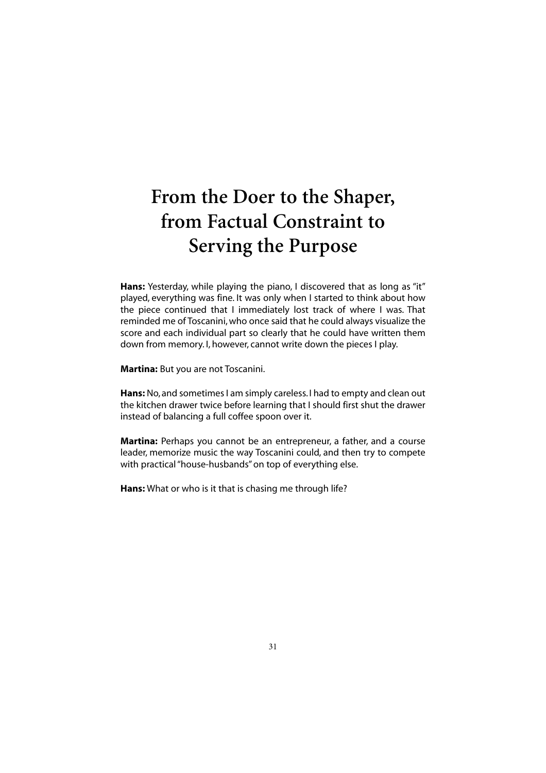## **From the Doer to the Shaper, from Factual Constraint to Serving the Purpose**

Hans: Yesterday, while playing the piano, I discovered that as long as "it" played, everything was fine. It was only when I started to think about how the piece continued that I immediately lost track of where I was. That reminded me of Toscanini, who once said that he could always visualize the score and each individual part so clearly that he could have written them down from memory. I, however, cannot write down the pieces I play.

**Martina:** But you are not Toscanini.

**Hans:** No, and sometimes I am simply careless. I had to empty and clean out the kitchen drawer twice before learning that I should first shut the drawer instead of balancing a full coffee spoon over it.

**Martina:** Perhaps you cannot be an entrepreneur, a father, and a course leader, memorize music the way Toscanini could, and then try to compete with practical "house-husbands" on top of everything else.

**Hans:** What or who is it that is chasing me through life?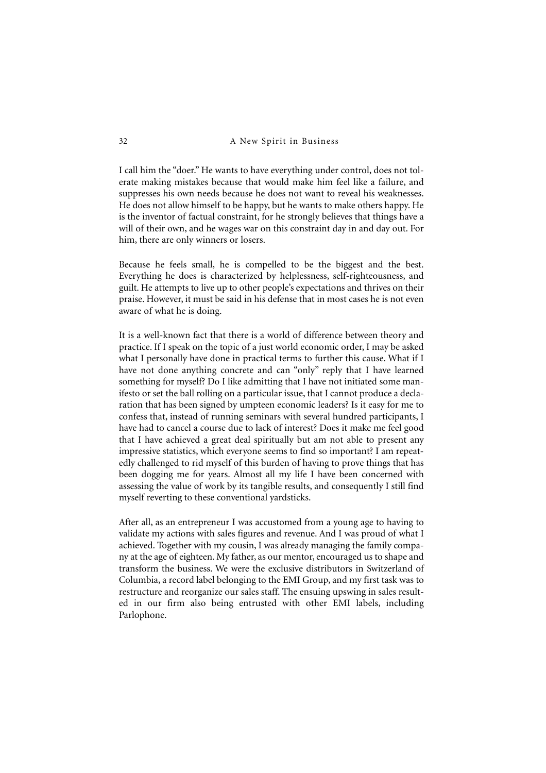I call him the "doer." He wants to have everything under control, does not tolerate making mistakes because that would make him feel like a failure, and suppresses his own needs because he does not want to reveal his weaknesses. He does not allow himself to be happy, but he wants to make others happy. He is the inventor of factual constraint, for he strongly believes that things have a will of their own, and he wages war on this constraint day in and day out. For him, there are only winners or losers.

Because he feels small, he is compelled to be the biggest and the best. Everything he does is characterized by helplessness, self-righteousness, and guilt. He attempts to live up to other people's expectations and thrives on their praise. However, it must be said in his defense that in most cases he is not even aware of what he is doing.

It is a well-known fact that there is a world of difference between theory and practice. If I speak on the topic of a just world economic order, I may be asked what I personally have done in practical terms to further this cause. What if I have not done anything concrete and can "only" reply that I have learned something for myself? Do I like admitting that I have not initiated some manifesto or set the ball rolling on a particular issue, that I cannot produce a declaration that has been signed by umpteen economic leaders? Is it easy for me to confess that, instead of running seminars with several hundred participants, I have had to cancel a course due to lack of interest? Does it make me feel good that I have achieved a great deal spiritually but am not able to present any impressive statistics, which everyone seems to find so important? I am repeatedly challenged to rid myself of this burden of having to prove things that has been dogging me for years. Almost all my life I have been concerned with assessing the value of work by its tangible results, and consequently I still find myself reverting to these conventional yardsticks.

After all, as an entrepreneur I was accustomed from a young age to having to validate my actions with sales figures and revenue. And I was proud of what I achieved. Together with my cousin, I was already managing the family company at the age of eighteen. My father, as our mentor, encouraged us to shape and transform the business. We were the exclusive distributors in Switzerland of Columbia, a record label belonging to the EMI Group, and my first task was to restructure and reorganize our sales staff. The ensuing upswing in sales resulted in our firm also being entrusted with other EMI labels, including Parlophone.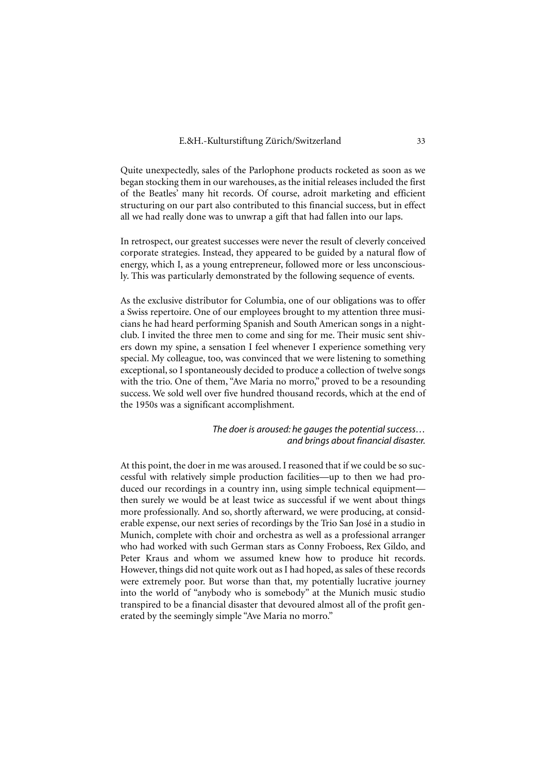Quite unexpectedly, sales of the Parlophone products rocketed as soon as we began stocking them in our warehouses, as the initial releases included the first of the Beatles' many hit records. Of course, adroit marketing and efficient structuring on our part also contributed to this financial success, but in effect all we had really done was to unwrap a gift that had fallen into our laps.

In retrospect, our greatest successes were never the result of cleverly conceived corporate strategies. Instead, they appeared to be guided by a natural flow of energy, which I, as a young entrepreneur, followed more or less unconsciously. This was particularly demonstrated by the following sequence of events.

As the exclusive distributor for Columbia, one of our obligations was to offer a Swiss repertoire. One of our employees brought to my attention three musicians he had heard performing Spanish and South American songs in a nightclub. I invited the three men to come and sing for me. Their music sent shivers down my spine, a sensation I feel whenever I experience something very special. My colleague, too, was convinced that we were listening to something exceptional, so I spontaneously decided to produce a collection of twelve songs with the trio. One of them, "Ave Maria no morro," proved to be a resounding success. We sold well over five hundred thousand records, which at the end of the 1950s was a significant accomplishment.

## *The doer is aroused: he gauges the potential success… and brings about financial disaster.*

At this point, the doer in me was aroused. I reasoned that if we could be so successful with relatively simple production facilities—up to then we had produced our recordings in a country inn, using simple technical equipment then surely we would be at least twice as successful if we went about things more professionally. And so, shortly afterward, we were producing, at considerable expense, our next series of recordings by the Trio San José in a studio in Munich, complete with choir and orchestra as well as a professional arranger who had worked with such German stars as Conny Froboess, Rex Gildo, and Peter Kraus and whom we assumed knew how to produce hit records. However, things did not quite work out as I had hoped, as sales of these records were extremely poor. But worse than that, my potentially lucrative journey into the world of "anybody who is somebody" at the Munich music studio transpired to be a financial disaster that devoured almost all of the profit generated by the seemingly simple "Ave Maria no morro."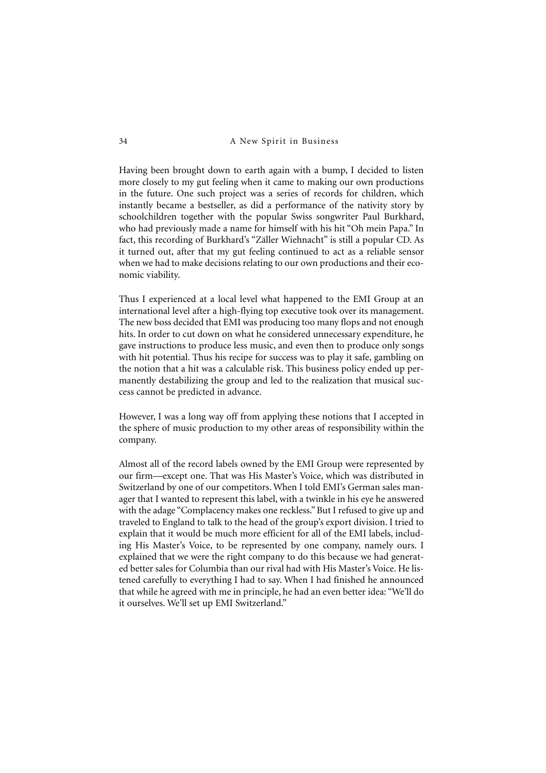Having been brought down to earth again with a bump, I decided to listen more closely to my gut feeling when it came to making our own productions in the future. One such project was a series of records for children, which instantly became a bestseller, as did a performance of the nativity story by schoolchildren together with the popular Swiss songwriter Paul Burkhard, who had previously made a name for himself with his hit "Oh mein Papa." In fact, this recording of Burkhard's "Zäller Wiehnacht" is still a popular CD. As it turned out, after that my gut feeling continued to act as a reliable sensor when we had to make decisions relating to our own productions and their economic viability.

Thus I experienced at a local level what happened to the EMI Group at an international level after a high-flying top executive took over its management. The new boss decided that EMI was producing too many flops and not enough hits. In order to cut down on what he considered unnecessary expenditure, he gave instructions to produce less music, and even then to produce only songs with hit potential. Thus his recipe for success was to play it safe, gambling on the notion that a hit was a calculable risk. This business policy ended up permanently destabilizing the group and led to the realization that musical success cannot be predicted in advance.

However, I was a long way off from applying these notions that I accepted in the sphere of music production to my other areas of responsibility within the company.

Almost all of the record labels owned by the EMI Group were represented by our firm—except one. That was His Master's Voice, which was distributed in Switzerland by one of our competitors. When I told EMI's German sales manager that I wanted to represent this label, with a twinkle in his eye he answered with the adage "Complacency makes one reckless." But I refused to give up and traveled to England to talk to the head of the group's export division. I tried to explain that it would be much more efficient for all of the EMI labels, including His Master's Voice, to be represented by one company, namely ours. I explained that we were the right company to do this because we had generated better sales for Columbia than our rival had with His Master's Voice. He listened carefully to everything I had to say. When I had finished he announced that while he agreed with me in principle, he had an even better idea: "We'll do it ourselves. We'll set up EMI Switzerland."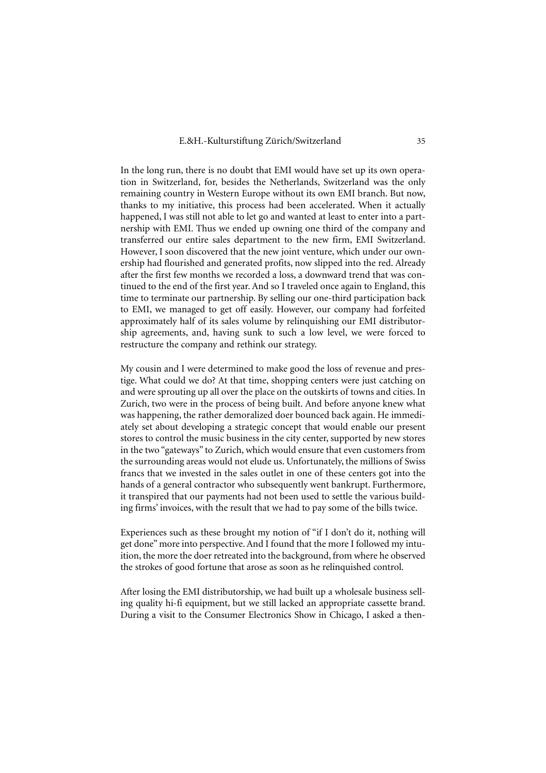In the long run, there is no doubt that EMI would have set up its own operation in Switzerland, for, besides the Netherlands, Switzerland was the only remaining country in Western Europe without its own EMI branch. But now, thanks to my initiative, this process had been accelerated. When it actually happened, I was still not able to let go and wanted at least to enter into a partnership with EMI. Thus we ended up owning one third of the company and transferred our entire sales department to the new firm, EMI Switzerland. However, I soon discovered that the new joint venture, which under our ownership had flourished and generated profits, now slipped into the red. Already after the first few months we recorded a loss, a downward trend that was continued to the end of the first year. And so I traveled once again to England, this time to terminate our partnership. By selling our one-third participation back to EMI, we managed to get off easily. However, our company had forfeited approximately half of its sales volume by relinquishing our EMI distributorship agreements, and, having sunk to such a low level, we were forced to restructure the company and rethink our strategy.

My cousin and I were determined to make good the loss of revenue and prestige. What could we do? At that time, shopping centers were just catching on and were sprouting up all over the place on the outskirts of towns and cities. In Zurich, two were in the process of being built. And before anyone knew what was happening, the rather demoralized doer bounced back again. He immediately set about developing a strategic concept that would enable our present stores to control the music business in the city center, supported by new stores in the two "gateways" to Zurich, which would ensure that even customers from the surrounding areas would not elude us. Unfortunately, the millions of Swiss francs that we invested in the sales outlet in one of these centers got into the hands of a general contractor who subsequently went bankrupt. Furthermore, it transpired that our payments had not been used to settle the various building firms' invoices, with the result that we had to pay some of the bills twice.

Experiences such as these brought my notion of "if I don't do it, nothing will get done" more into perspective. And I found that the more I followed my intuition, the more the doer retreated into the background, from where he observed the strokes of good fortune that arose as soon as he relinquished control.

After losing the EMI distributorship, we had built up a wholesale business selling quality hi-fi equipment, but we still lacked an appropriate cassette brand. During a visit to the Consumer Electronics Show in Chicago, I asked a then-